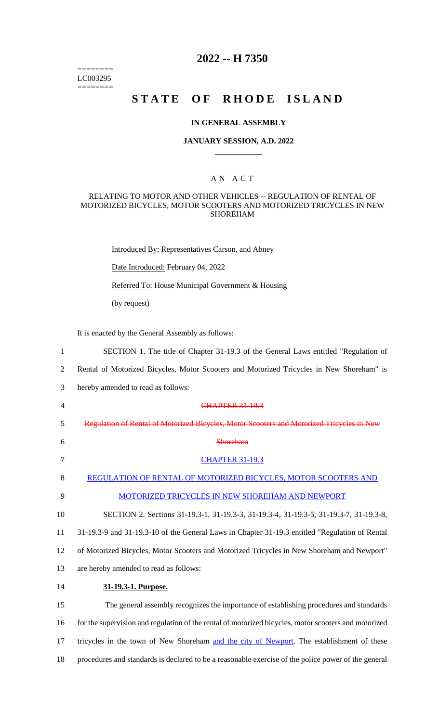======== LC003295 ========

# **2022 -- H 7350**

# **STATE OF RHODE ISLAND**

#### **IN GENERAL ASSEMBLY**

#### **JANUARY SESSION, A.D. 2022 \_\_\_\_\_\_\_\_\_\_\_\_**

#### A N A C T

#### RELATING TO MOTOR AND OTHER VEHICLES -- REGULATION OF RENTAL OF MOTORIZED BICYCLES, MOTOR SCOOTERS AND MOTORIZED TRICYCLES IN NEW SHOREHAM

Introduced By: Representatives Carson, and Abney

Date Introduced: February 04, 2022

Referred To: House Municipal Government & Housing

(by request)

It is enacted by the General Assembly as follows:

- 1 SECTION 1. The title of Chapter 31-19.3 of the General Laws entitled "Regulation of
- 2 Rental of Motorized Bicycles, Motor Scooters and Motorized Tricycles in New Shoreham" is
- 3 hereby amended to read as follows:
- 4 CHAPTER 31-19.3 5 Regulation of Rental of Motorized Bicycles, Motor Scooters and Motorized Tricycles in New 6 Shoreham 7 CHAPTER 31-19.3 8 REGULATION OF RENTAL OF MOTORIZED BICYCLES, MOTOR SCOOTERS AND 9 MOTORIZED TRICYCLES IN NEW SHOREHAM AND NEWPORT 10 SECTION 2. Sections 31-19.3-1, 31-19.3-3, 31-19.3-4, 31-19.3-5, 31-19.3-7, 31-19.3-8, 11 31-19.3-9 and 31-19.3-10 of the General Laws in Chapter 31-19.3 entitled "Regulation of Rental 12 of Motorized Bicycles, Motor Scooters and Motorized Tricycles in New Shoreham and Newport" 13 are hereby amended to read as follows:
- 14 **31-19.3-1. Purpose.**

15 The general assembly recognizes the importance of establishing procedures and standards 16 for the supervision and regulation of the rental of motorized bicycles, motor scooters and motorized 17 tricycles in the town of New Shoreham and the city of Newport. The establishment of these 18 procedures and standards is declared to be a reasonable exercise of the police power of the general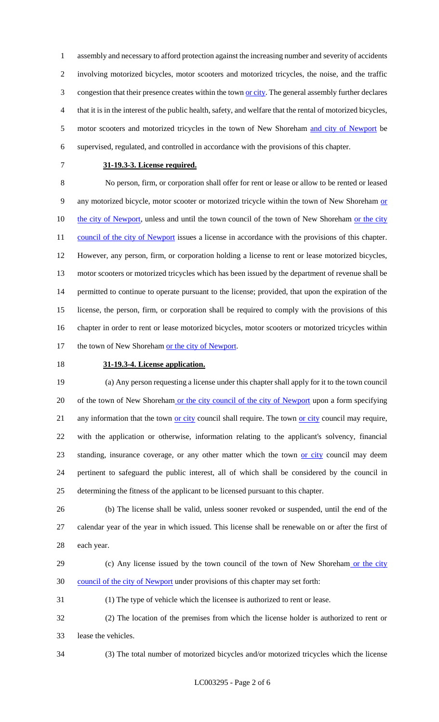assembly and necessary to afford protection against the increasing number and severity of accidents involving motorized bicycles, motor scooters and motorized tricycles, the noise, and the traffic 3 congestion that their presence creates within the town or city. The general assembly further declares that it is in the interest of the public health, safety, and welfare that the rental of motorized bicycles, 5 motor scooters and motorized tricycles in the town of New Shoreham and city of Newport be supervised, regulated, and controlled in accordance with the provisions of this chapter.

#### **31-19.3-3. License required.**

 No person, firm, or corporation shall offer for rent or lease or allow to be rented or leased 9 any motorized bicycle, motor scooter or motorized tricycle within the town of New Shoreham or 10 the city of Newport, unless and until the town council of the town of New Shoreham or the city 11 council of the city of Newport issues a license in accordance with the provisions of this chapter. However, any person, firm, or corporation holding a license to rent or lease motorized bicycles, motor scooters or motorized tricycles which has been issued by the department of revenue shall be permitted to continue to operate pursuant to the license; provided, that upon the expiration of the license, the person, firm, or corporation shall be required to comply with the provisions of this chapter in order to rent or lease motorized bicycles, motor scooters or motorized tricycles within 17 the town of New Shoreham or the city of Newport.

# **31-19.3-4. License application.**

 (a) Any person requesting a license under this chapter shall apply for it to the town council 20 of the town of New Shoreham or the city council of the city of Newport upon a form specifying 21 any information that the town <u>or city</u> council shall require. The town <u>or city</u> council may require, with the application or otherwise, information relating to the applicant's solvency, financial standing, insurance coverage, or any other matter which the town or city council may deem pertinent to safeguard the public interest, all of which shall be considered by the council in determining the fitness of the applicant to be licensed pursuant to this chapter.

 (b) The license shall be valid, unless sooner revoked or suspended, until the end of the calendar year of the year in which issued. This license shall be renewable on or after the first of each year.

29 (c) Any license issued by the town council of the town of New Shoreham or the city council of the city of Newport under provisions of this chapter may set forth:

(1) The type of vehicle which the licensee is authorized to rent or lease.

 (2) The location of the premises from which the license holder is authorized to rent or lease the vehicles.

(3) The total number of motorized bicycles and/or motorized tricycles which the license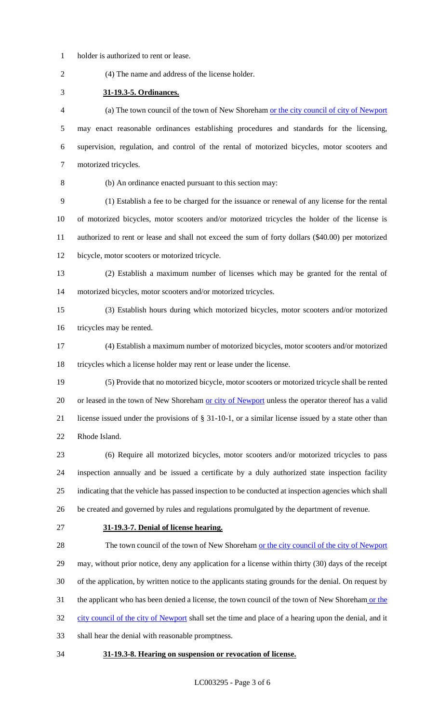holder is authorized to rent or lease.

(4) The name and address of the license holder.

**31-19.3-5. Ordinances.**

 (a) The town council of the town of New Shoreham or the city council of city of Newport may enact reasonable ordinances establishing procedures and standards for the licensing, supervision, regulation, and control of the rental of motorized bicycles, motor scooters and motorized tricycles.

(b) An ordinance enacted pursuant to this section may:

 (1) Establish a fee to be charged for the issuance or renewal of any license for the rental of motorized bicycles, motor scooters and/or motorized tricycles the holder of the license is authorized to rent or lease and shall not exceed the sum of forty dollars (\$40.00) per motorized bicycle, motor scooters or motorized tricycle.

- (2) Establish a maximum number of licenses which may be granted for the rental of motorized bicycles, motor scooters and/or motorized tricycles.
- (3) Establish hours during which motorized bicycles, motor scooters and/or motorized tricycles may be rented.
- (4) Establish a maximum number of motorized bicycles, motor scooters and/or motorized tricycles which a license holder may rent or lease under the license.
- (5) Provide that no motorized bicycle, motor scooters or motorized tricycle shall be rented 20 or leased in the town of New Shoreham or city of Newport unless the operator thereof has a valid license issued under the provisions of § 31-10-1, or a similar license issued by a state other than Rhode Island.
- (6) Require all motorized bicycles, motor scooters and/or motorized tricycles to pass inspection annually and be issued a certificate by a duly authorized state inspection facility indicating that the vehicle has passed inspection to be conducted at inspection agencies which shall be created and governed by rules and regulations promulgated by the department of revenue.
- 

#### **31-19.3-7. Denial of license hearing.**

28 The town council of the town of New Shoreham or the city council of the city of Newport may, without prior notice, deny any application for a license within thirty (30) days of the receipt of the application, by written notice to the applicants stating grounds for the denial. On request by 31 the applicant who has been denied a license, the town council of the town of New Shoreham or the 32 city council of the city of Newport shall set the time and place of a hearing upon the denial, and it shall hear the denial with reasonable promptness.

## **31-19.3-8. Hearing on suspension or revocation of license.**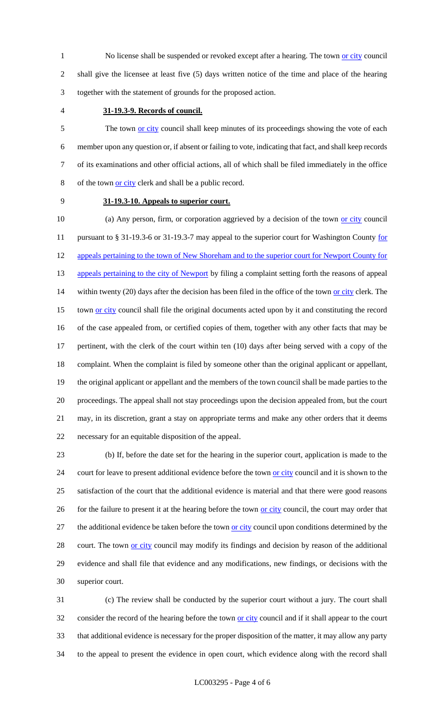1 No license shall be suspended or revoked except after a hearing. The town or city council 2 shall give the licensee at least five (5) days written notice of the time and place of the hearing 3 together with the statement of grounds for the proposed action.

## 4 **31-19.3-9. Records of council.**

5 The town or city council shall keep minutes of its proceedings showing the vote of each member upon any question or, if absent or failing to vote, indicating that fact, and shall keep records of its examinations and other official actions, all of which shall be filed immediately in the office of the town or city clerk and shall be a public record.

#### 9 **31-19.3-10. Appeals to superior court.**

10 (a) Any person, firm, or corporation aggrieved by a decision of the town or city council 11 pursuant to § 31-19.3-6 or 31-19.3-7 may appeal to the superior court for Washington County for 12 appeals pertaining to the town of New Shoreham and to the superior court for Newport County for 13 appeals pertaining to the city of Newport by filing a complaint setting forth the reasons of appeal 14 within twenty (20) days after the decision has been filed in the office of the town or city clerk. The 15 town <u>or city</u> council shall file the original documents acted upon by it and constituting the record 16 of the case appealed from, or certified copies of them, together with any other facts that may be 17 pertinent, with the clerk of the court within ten (10) days after being served with a copy of the 18 complaint. When the complaint is filed by someone other than the original applicant or appellant, 19 the original applicant or appellant and the members of the town council shall be made parties to the 20 proceedings. The appeal shall not stay proceedings upon the decision appealed from, but the court 21 may, in its discretion, grant a stay on appropriate terms and make any other orders that it deems 22 necessary for an equitable disposition of the appeal.

23 (b) If, before the date set for the hearing in the superior court, application is made to the 24 court for leave to present additional evidence before the town or city council and it is shown to the 25 satisfaction of the court that the additional evidence is material and that there were good reasons 26 for the failure to present it at the hearing before the town or city council, the court may order that 27 the additional evidence be taken before the town or city council upon conditions determined by the 28 court. The town or city council may modify its findings and decision by reason of the additional 29 evidence and shall file that evidence and any modifications, new findings, or decisions with the 30 superior court.

 (c) The review shall be conducted by the superior court without a jury. The court shall 32 consider the record of the hearing before the town or city council and if it shall appear to the court that additional evidence is necessary for the proper disposition of the matter, it may allow any party to the appeal to present the evidence in open court, which evidence along with the record shall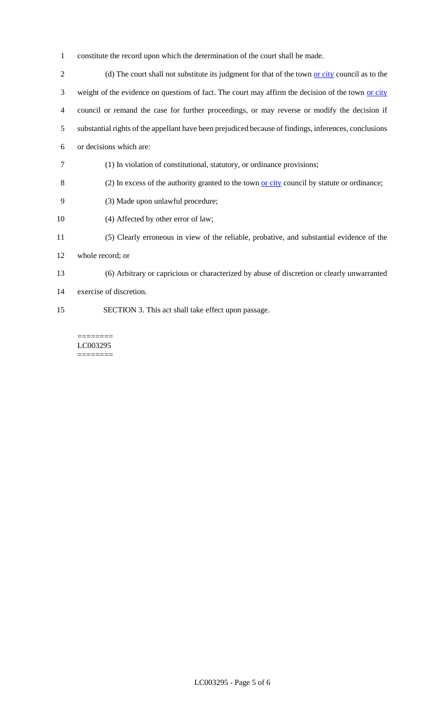- 1 constitute the record upon which the determination of the court shall be made.
- 2 (d) The court shall not substitute its judgment for that of the town <u>or city</u> council as to the 3 weight of the evidence on questions of fact. The court may affirm the decision of the town or city 4 council or remand the case for further proceedings, or may reverse or modify the decision if 5 substantial rights of the appellant have been prejudiced because of findings, inferences, conclusions 6 or decisions which are: 7 (1) In violation of constitutional, statutory, or ordinance provisions; 8 (2) In excess of the authority granted to the town or city council by statute or ordinance;
- 9 (3) Made upon unlawful procedure;
- 10 (4) Affected by other error of law;
- 11 (5) Clearly erroneous in view of the reliable, probative, and substantial evidence of the
- 12 whole record; or
- 13 (6) Arbitrary or capricious or characterized by abuse of discretion or clearly unwarranted
- 14 exercise of discretion.
- 15 SECTION 3. This act shall take effect upon passage.

======== LC003295 ========